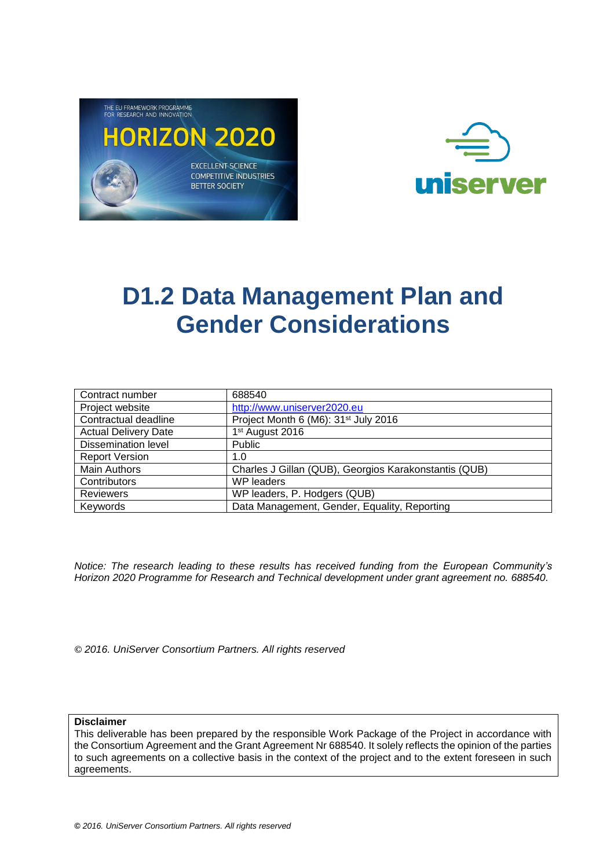



# **D1.2 Data Management Plan and Gender Considerations**

| Contract number             | 688540                                                |
|-----------------------------|-------------------------------------------------------|
| Project website             | http://www.uniserver2020.eu                           |
| Contractual deadline        | Project Month 6 (M6): 31 <sup>st</sup> July 2016      |
| <b>Actual Delivery Date</b> | 1 <sup>st</sup> August 2016                           |
| <b>Dissemination level</b>  | <b>Public</b>                                         |
| <b>Report Version</b>       | 1.0                                                   |
| <b>Main Authors</b>         | Charles J Gillan (QUB), Georgios Karakonstantis (QUB) |
| Contributors                | <b>WP</b> leaders                                     |
| <b>Reviewers</b>            | WP leaders, P. Hodgers (QUB)                          |
| Keywords                    | Data Management, Gender, Equality, Reporting          |

*Notice: The research leading to these results has received funding from the European Community's Horizon 2020 Programme for Research and Technical development under grant agreement no. 688540.*

**©** *2016. UniServer Consortium Partners. All rights reserved*

**Disclaimer**

This deliverable has been prepared by the responsible Work Package of the Project in accordance with the Consortium Agreement and the Grant Agreement Nr 688540. It solely reflects the opinion of the parties to such agreements on a collective basis in the context of the project and to the extent foreseen in such agreements.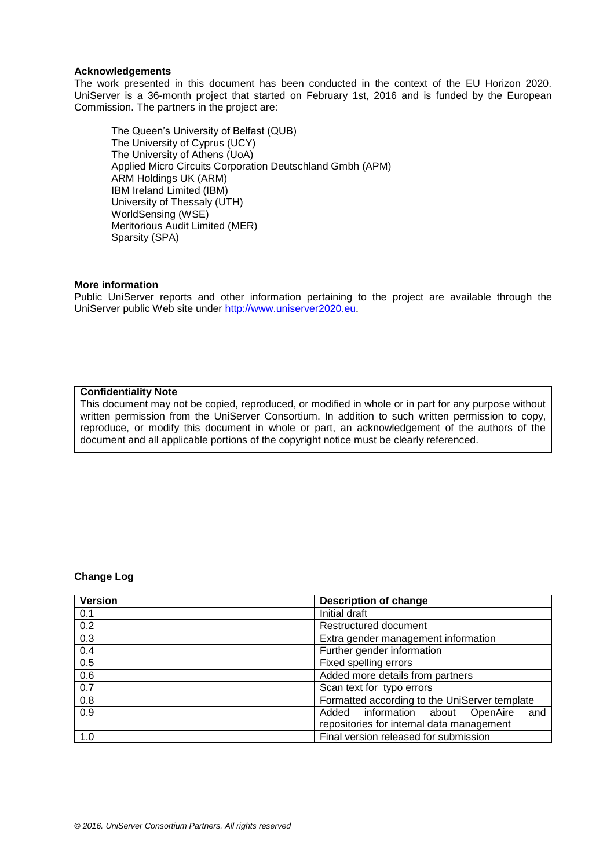#### **Acknowledgements**

The work presented in this document has been conducted in the context of the EU Horizon 2020. UniServer is a 36-month project that started on February 1st, 2016 and is funded by the European Commission. The partners in the project are:

The Queen's University of Belfast (QUB) The University of Cyprus (UCY) The University of Athens (UoA) Applied Micro Circuits Corporation Deutschland Gmbh (APM) ARM Holdings UK (ARM) IBM Ireland Limited (IBM) University of Thessaly (UTH) WorldSensing (WSE) Meritorious Audit Limited (MER) Sparsity (SPA)

### **More information**

Public UniServer reports and other information pertaining to the project are available through the UniServer public Web site under [http://www.uniserver2020.eu](http://www.uniserver2020.eu/).

#### **Confidentiality Note**

This document may not be copied, reproduced, or modified in whole or in part for any purpose without written permission from the UniServer Consortium. In addition to such written permission to copy, reproduce, or modify this document in whole or part, an acknowledgement of the authors of the document and all applicable portions of the copyright notice must be clearly referenced.

### **Change Log**

| <b>Version</b> | <b>Description of change</b>                  |  |  |  |
|----------------|-----------------------------------------------|--|--|--|
| 0.1            | Initial draft                                 |  |  |  |
| 0.2            | Restructured document                         |  |  |  |
| 0.3            | Extra gender management information           |  |  |  |
| 0.4            | Further gender information                    |  |  |  |
| 0.5            | Fixed spelling errors                         |  |  |  |
| 0.6            | Added more details from partners              |  |  |  |
| 0.7            | Scan text for typo errors                     |  |  |  |
| 0.8            | Formatted according to the UniServer template |  |  |  |
| 0.9            | Added information about OpenAire<br>and       |  |  |  |
|                | repositories for internal data management     |  |  |  |
| 1.0            | Final version released for submission         |  |  |  |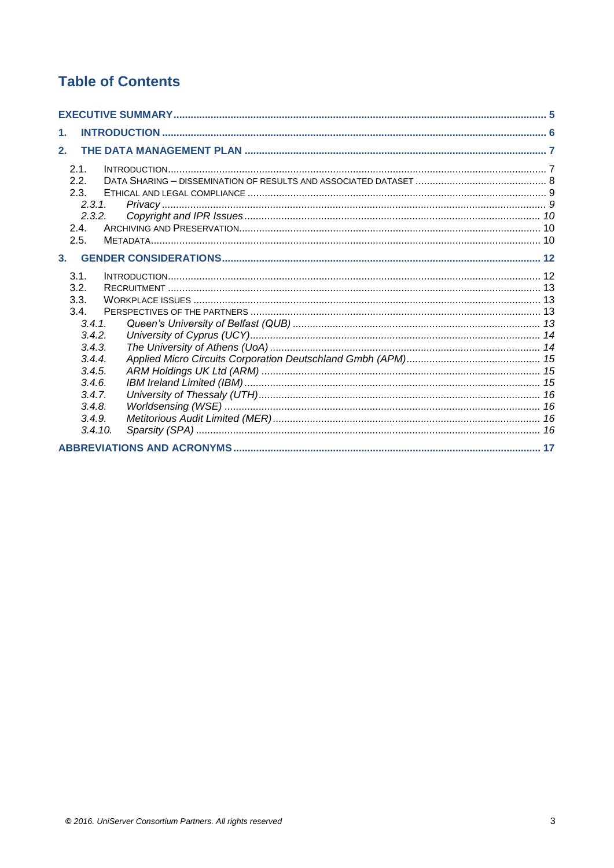# **Table of Contents**

| $\mathbf 1$  |  |
|--------------|--|
| 2.           |  |
| 2.1.<br>2.2. |  |
| 2.3.         |  |
| 2.3.1.       |  |
| 2.3.2.       |  |
| 2.4.         |  |
| 2.5.         |  |
|              |  |
| 3.           |  |
| 3.1.         |  |
| 3.2.         |  |
| 3.3.         |  |
| 34           |  |
| 3.4.1        |  |
| 3.4.2.       |  |
| 3.4.3.       |  |
| 3.4.4        |  |
| 3.4.5.       |  |
| 3.4.6.       |  |
| 3.4.7.       |  |
| 3.4.8.       |  |
| 3.4.9.       |  |
| 3.4.10.      |  |
|              |  |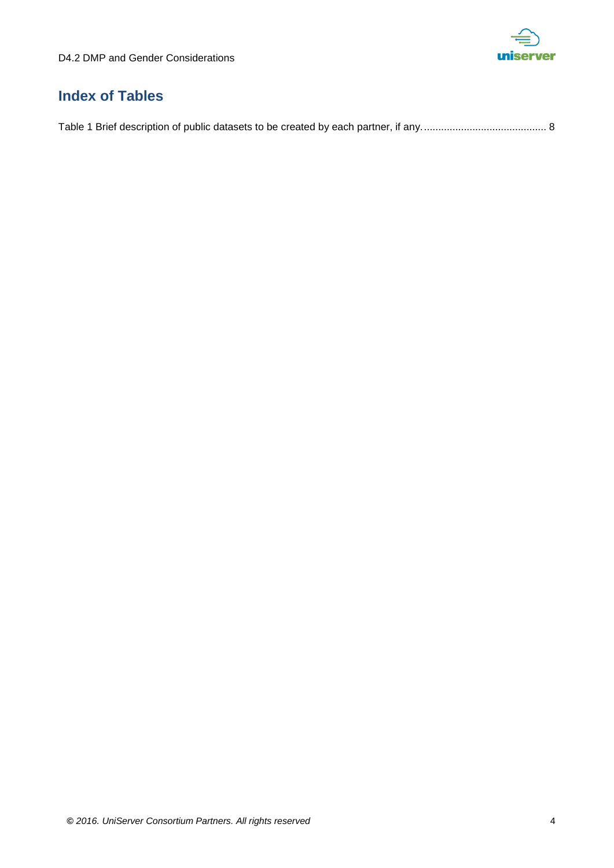

# **Index of Tables**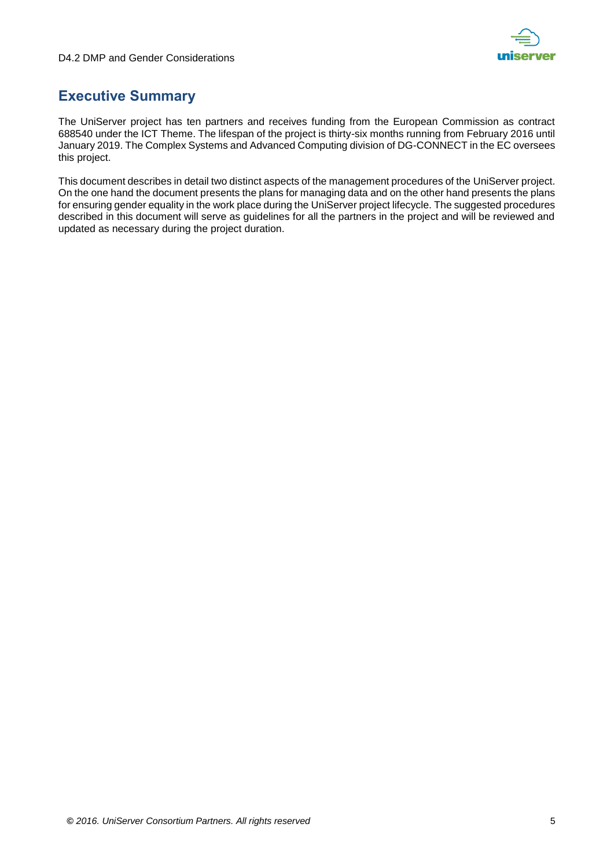

# <span id="page-4-0"></span>**Executive Summary**

The UniServer project has ten partners and receives funding from the European Commission as contract 688540 under the ICT Theme. The lifespan of the project is thirty-six months running from February 2016 until January 2019. The Complex Systems and Advanced Computing division of DG-CONNECT in the EC oversees this project.

This document describes in detail two distinct aspects of the management procedures of the UniServer project. On the one hand the document presents the plans for managing data and on the other hand presents the plans for ensuring gender equality in the work place during the UniServer project lifecycle. The suggested procedures described in this document will serve as guidelines for all the partners in the project and will be reviewed and updated as necessary during the project duration.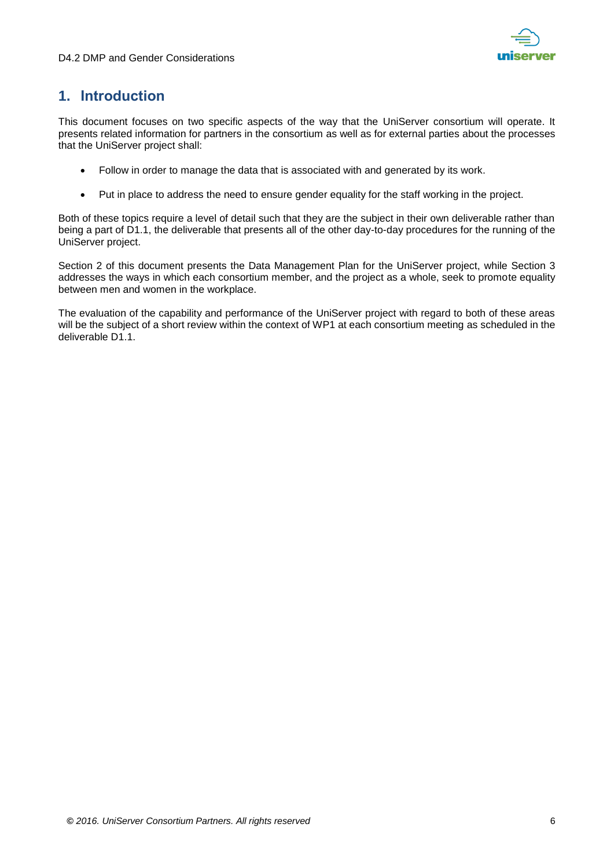

# <span id="page-5-0"></span>**1. Introduction**

This document focuses on two specific aspects of the way that the UniServer consortium will operate. It presents related information for partners in the consortium as well as for external parties about the processes that the UniServer project shall:

- Follow in order to manage the data that is associated with and generated by its work.
- Put in place to address the need to ensure gender equality for the staff working in the project.

Both of these topics require a level of detail such that they are the subject in their own deliverable rather than being a part of D1.1, the deliverable that presents all of the other day-to-day procedures for the running of the UniServer project.

Section 2 of this document presents the Data Management Plan for the UniServer project, while Section 3 addresses the ways in which each consortium member, and the project as a whole, seek to promote equality between men and women in the workplace.

The evaluation of the capability and performance of the UniServer project with regard to both of these areas will be the subject of a short review within the context of WP1 at each consortium meeting as scheduled in the deliverable D1.1.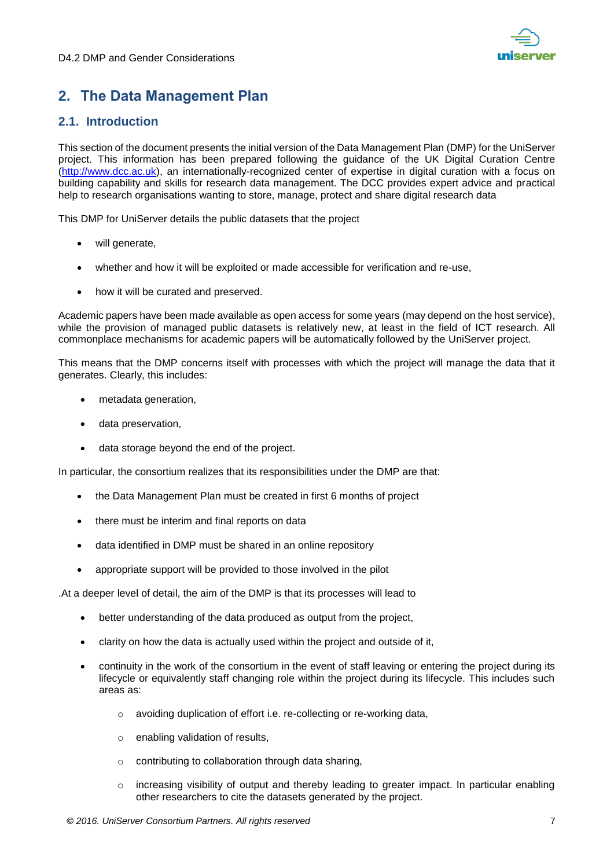

# <span id="page-6-0"></span>**2. The Data Management Plan**

# <span id="page-6-1"></span>**2.1. Introduction**

This section of the document presents the initial version of the Data Management Plan (DMP) for the UniServer project. This information has been prepared following the guidance of the UK Digital Curation Centre [\(http://www.dcc.ac.uk\)](http://www.dcc.ac.uk/), an internationally-recognized center of expertise in digital curation with a focus on building capability and skills for research data management. The DCC provides expert advice and practical help to research organisations wanting to store, manage, protect and share digital research data

This DMP for UniServer details the public datasets that the project

- will generate,
- whether and how it will be exploited or made accessible for verification and re-use,
- how it will be curated and preserved.

Academic papers have been made available as open access for some years (may depend on the host service), while the provision of managed public datasets is relatively new, at least in the field of ICT research. All commonplace mechanisms for academic papers will be automatically followed by the UniServer project.

This means that the DMP concerns itself with processes with which the project will manage the data that it generates. Clearly, this includes:

- metadata generation,
- data preservation,
- data storage beyond the end of the project.

In particular, the consortium realizes that its responsibilities under the DMP are that:

- the Data Management Plan must be created in first 6 months of project
- there must be interim and final reports on data
- data identified in DMP must be shared in an online repository
- appropriate support will be provided to those involved in the pilot

.At a deeper level of detail, the aim of the DMP is that its processes will lead to

- better understanding of the data produced as output from the project,
- clarity on how the data is actually used within the project and outside of it,
- continuity in the work of the consortium in the event of staff leaving or entering the project during its lifecycle or equivalently staff changing role within the project during its lifecycle. This includes such areas as:
	- o avoiding duplication of effort i.e. re-collecting or re-working data,
	- o enabling validation of results,
	- o contributing to collaboration through data sharing,
	- $\circ$  increasing visibility of output and thereby leading to greater impact. In particular enabling other researchers to cite the datasets generated by the project.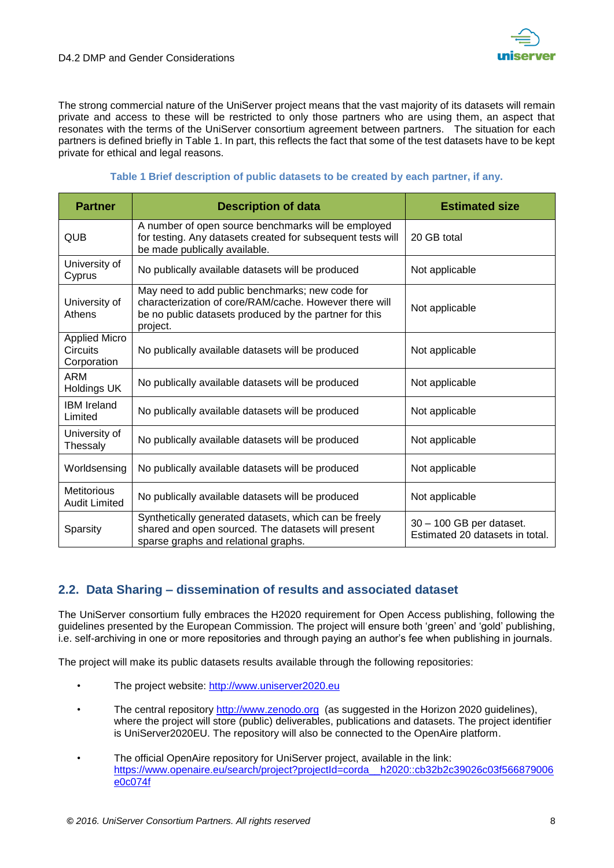

The strong commercial nature of the UniServer project means that the vast majority of its datasets will remain private and access to these will be restricted to only those partners who are using them, an aspect that resonates with the terms of the UniServer consortium agreement between partners. The situation for each partners is defined briefly in [Table 1.](#page-7-1) In part, this reflects the fact that some of the test datasets have to be kept private for ethical and legal reasons.

### **Table 1 Brief description of public datasets to be created by each partner, if any.**

<span id="page-7-1"></span>

| <b>Partner</b>                                         | <b>Description of data</b>                                                                                                                                                      | <b>Estimated size</b>                                       |
|--------------------------------------------------------|---------------------------------------------------------------------------------------------------------------------------------------------------------------------------------|-------------------------------------------------------------|
| <b>QUB</b>                                             | A number of open source benchmarks will be employed<br>for testing. Any datasets created for subsequent tests will<br>be made publically available.                             | 20 GB total                                                 |
| University of<br>Cyprus                                | No publically available datasets will be produced                                                                                                                               | Not applicable                                              |
| University of<br>Athens                                | May need to add public benchmarks; new code for<br>characterization of core/RAM/cache. However there will<br>be no public datasets produced by the partner for this<br>project. | Not applicable                                              |
| <b>Applied Micro</b><br><b>Circuits</b><br>Corporation | No publically available datasets will be produced                                                                                                                               | Not applicable                                              |
| <b>ARM</b><br><b>Holdings UK</b>                       | No publically available datasets will be produced                                                                                                                               | Not applicable                                              |
| <b>IBM</b> Ireland<br>Limited                          | No publically available datasets will be produced                                                                                                                               | Not applicable                                              |
| University of<br>Thessaly                              | No publically available datasets will be produced                                                                                                                               | Not applicable                                              |
| Worldsensing                                           | No publically available datasets will be produced                                                                                                                               | Not applicable                                              |
| <b>Metitorious</b><br><b>Audit Limited</b>             | No publically available datasets will be produced                                                                                                                               | Not applicable                                              |
| Sparsity                                               | Synthetically generated datasets, which can be freely<br>shared and open sourced. The datasets will present<br>sparse graphs and relational graphs.                             | 30 - 100 GB per dataset.<br>Estimated 20 datasets in total. |

# <span id="page-7-0"></span>**2.2. Data Sharing – dissemination of results and associated dataset**

The UniServer consortium fully embraces the H2020 requirement for Open Access publishing, following the guidelines presented by the European Commission. The project will ensure both 'green' and 'gold' publishing, i.e. self-archiving in one or more repositories and through paying an author's fee when publishing in journals.

The project will make its public datasets results available through the following repositories:

- The project website: [http://www.uniserver2020.eu](http://www.uniserver2020.eu/)
- The central repository [http://www.zenodo.org](http://www.zenodo.org/) (as suggested in the Horizon 2020 guidelines), where the project will store (public) deliverables, publications and datasets. The project identifier is UniServer2020EU. The repository will also be connected to the OpenAire platform.
- The official OpenAire repository for UniServer project, available in the link: [https://www.openaire.eu/search/project?projectId=corda\\_\\_h2020::cb32b2c39026c03f566879006](https://www.openaire.eu/search/project?projectId=corda__h2020::cb32b2c39026c03f566879006e0c074f) [e0c074f](https://www.openaire.eu/search/project?projectId=corda__h2020::cb32b2c39026c03f566879006e0c074f)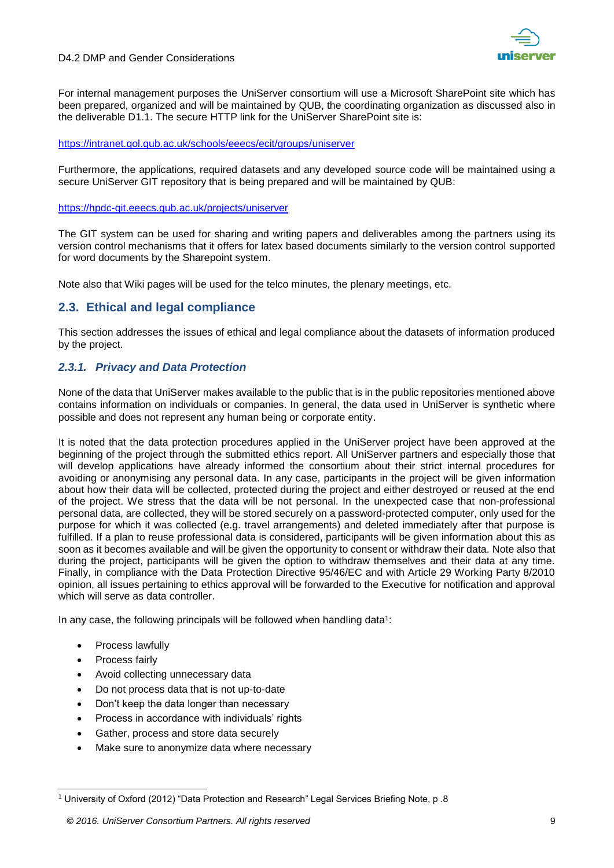

For internal management purposes the UniServer consortium will use a Microsoft SharePoint site which has been prepared, organized and will be maintained by QUB, the coordinating organization as discussed also in the deliverable D1.1. The secure HTTP link for the UniServer SharePoint site is:

### <https://intranet.qol.qub.ac.uk/schools/eeecs/ecit/groups/uniserver>

Furthermore, the applications, required datasets and any developed source code will be maintained using a secure UniServer GIT repository that is being prepared and will be maintained by QUB:

### <https://hpdc-git.eeecs.qub.ac.uk/projects/uniserver>

The GIT system can be used for sharing and writing papers and deliverables among the partners using its version control mechanisms that it offers for latex based documents similarly to the version control supported for word documents by the Sharepoint system.

Note also that Wiki pages will be used for the telco minutes, the plenary meetings, etc.

# <span id="page-8-0"></span>**2.3. Ethical and legal compliance**

This section addresses the issues of ethical and legal compliance about the datasets of information produced by the project.

### <span id="page-8-1"></span>*2.3.1. Privacy and Data Protection*

None of the data that UniServer makes available to the public that is in the public repositories mentioned above contains information on individuals or companies. In general, the data used in UniServer is synthetic where possible and does not represent any human being or corporate entity.

It is noted that the data protection procedures applied in the UniServer project have been approved at the beginning of the project through the submitted ethics report. All UniServer partners and especially those that will develop applications have already informed the consortium about their strict internal procedures for avoiding or anonymising any personal data. In any case, participants in the project will be given information about how their data will be collected, protected during the project and either destroyed or reused at the end of the project. We stress that the data will be not personal. In the unexpected case that non-professional personal data, are collected, they will be stored securely on a password-protected computer, only used for the purpose for which it was collected (e.g. travel arrangements) and deleted immediately after that purpose is fulfilled. If a plan to reuse professional data is considered, participants will be given information about this as soon as it becomes available and will be given the opportunity to consent or withdraw their data. Note also that during the project, participants will be given the option to withdraw themselves and their data at any time. Finally, in compliance with the Data Protection Directive 95/46/EC and with Article 29 Working Party 8/2010 opinion, all issues pertaining to ethics approval will be forwarded to the Executive for notification and approval which will serve as data controller.

In any case, the following principals will be followed when handling data<sup>1</sup>:

- Process lawfully
- Process fairly
- Avoid collecting unnecessary data
- Do not process data that is not up-to-date
- Don't keep the data longer than necessary
- Process in accordance with individuals' rights
- Gather, process and store data securely
- Make sure to anonymize data where necessary

<sup>1</sup> <sup>1</sup> University of Oxford (2012) "Data Protection and Research" Legal Services Briefing Note, p .8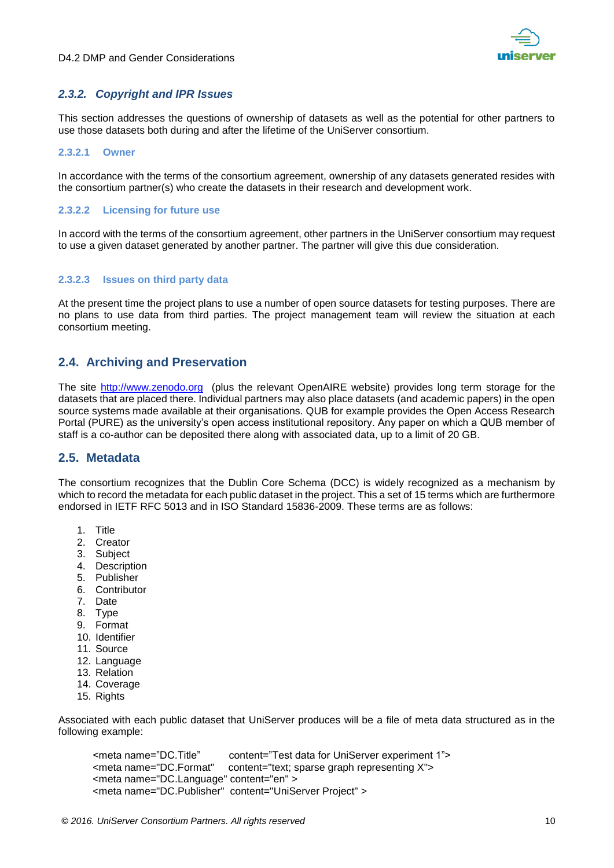### <span id="page-9-0"></span>*2.3.2. Copyright and IPR Issues*

This section addresses the questions of ownership of datasets as well as the potential for other partners to use those datasets both during and after the lifetime of the UniServer consortium.

### **2.3.2.1 Owner**

In accordance with the terms of the consortium agreement, ownership of any datasets generated resides with the consortium partner(s) who create the datasets in their research and development work.

### **2.3.2.2 Licensing for future use**

In accord with the terms of the consortium agreement, other partners in the UniServer consortium may request to use a given dataset generated by another partner. The partner will give this due consideration.

### **2.3.2.3 Issues on third party data**

At the present time the project plans to use a number of open source datasets for testing purposes. There are no plans to use data from third parties. The project management team will review the situation at each consortium meeting.

### <span id="page-9-1"></span>**2.4. Archiving and Preservation**

The site [http://www.zenodo.org](http://www.zenodo.org/) (plus the relevant OpenAIRE website) provides long term storage for the datasets that are placed there. Individual partners may also place datasets (and academic papers) in the open source systems made available at their organisations. QUB for example provides the Open Access Research Portal (PURE) as the university's open access institutional repository. Any paper on which a QUB member of staff is a co-author can be deposited there along with associated data, up to a limit of 20 GB.

### <span id="page-9-2"></span>**2.5. Metadata**

The consortium recognizes that the Dublin Core Schema (DCC) is widely recognized as a mechanism by which to record the metadata for each public dataset in the project. This a set of 15 terms which are furthermore endorsed in IETF RFC 5013 and in ISO Standard 15836-2009. These terms are as follows:

- 1. Title
- 2. Creator
- 3. Subject
- 4. Description
- 5. Publisher
- 6. Contributor
- 7. Date
- 8. Type
- 9. Format
- 10. Identifier
- 11. Source
- 12. Language
- 13. Relation
- 14. Coverage
- 15. Rights

Associated with each public dataset that UniServer produces will be a file of meta data structured as in the following example:

 <meta name="DC.Title" content="Test data for UniServer experiment 1"> <meta name="DC.Format" content="text; sparse graph representing X"> <meta name="DC.Language" content="en" > <meta name="DC.Publisher" content="UniServer Project" >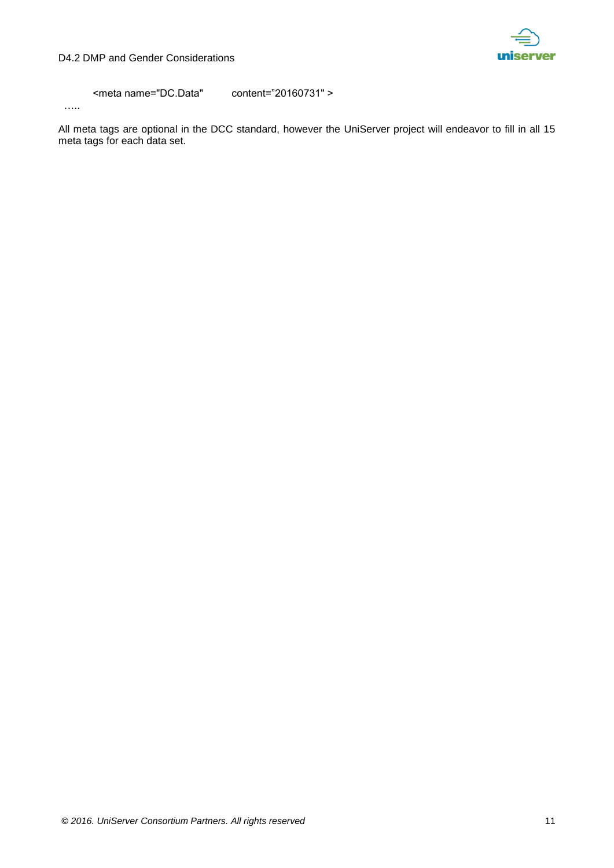

<meta name="DC.Data" content="20160731" >

…..

All meta tags are optional in the DCC standard, however the UniServer project will endeavor to fill in all 15 meta tags for each data set.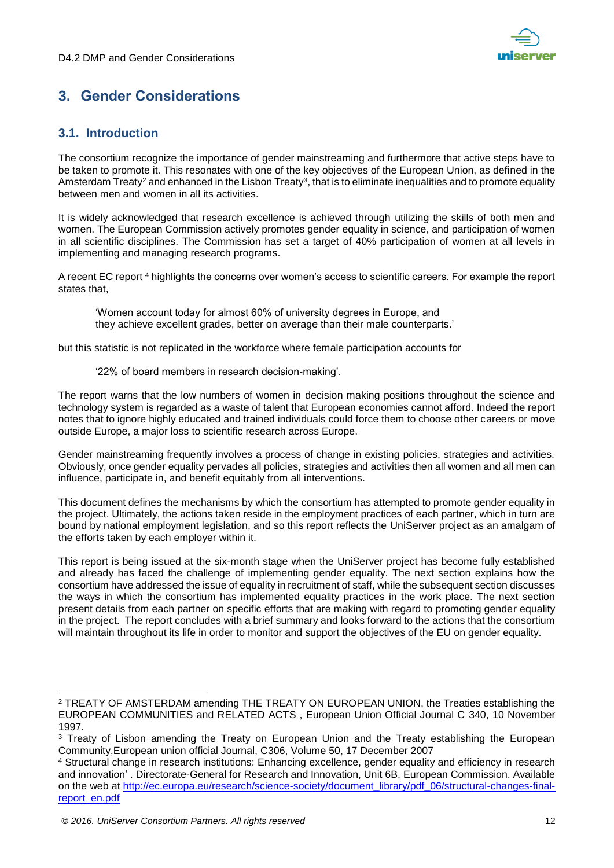

# <span id="page-11-0"></span>**3. Gender Considerations**

# <span id="page-11-1"></span>**3.1. Introduction**

The consortium recognize the importance of gender mainstreaming and furthermore that active steps have to be taken to promote it. This resonates with one of the key objectives of the European Union, as defined in the Amsterdam Treaty<sup>2</sup> and enhanced in the Lisbon Treaty<sup>3</sup>, that is to eliminate inequalities and to promote equality between men and women in all its activities.

It is widely acknowledged that research excellence is achieved through utilizing the skills of both men and women. The European Commission actively promotes gender equality in science, and participation of women in all scientific disciplines. The Commission has set a target of 40% participation of women at all levels in implementing and managing research programs.

A recent EC report <sup>4</sup> highlights the concerns over women's access to scientific careers. For example the report states that,

'Women account today for almost 60% of university degrees in Europe, and they achieve excellent grades, better on average than their male counterparts.'

but this statistic is not replicated in the workforce where female participation accounts for

'22% of board members in research decision-making'.

The report warns that the low numbers of women in decision making positions throughout the science and technology system is regarded as a waste of talent that European economies cannot afford. Indeed the report notes that to ignore highly educated and trained individuals could force them to choose other careers or move outside Europe, a major loss to scientific research across Europe.

Gender mainstreaming frequently involves a process of change in existing policies, strategies and activities. Obviously, once gender equality pervades all policies, strategies and activities then all women and all men can influence, participate in, and benefit equitably from all interventions.

This document defines the mechanisms by which the consortium has attempted to promote gender equality in the project. Ultimately, the actions taken reside in the employment practices of each partner, which in turn are bound by national employment legislation, and so this report reflects the UniServer project as an amalgam of the efforts taken by each employer within it.

This report is being issued at the six-month stage when the UniServer project has become fully established and already has faced the challenge of implementing gender equality. The next section explains how the consortium have addressed the issue of equality in recruitment of staff, while the subsequent section discusses the ways in which the consortium has implemented equality practices in the work place. The next section present details from each partner on specific efforts that are making with regard to promoting gender equality in the project. The report concludes with a brief summary and looks forward to the actions that the consortium will maintain throughout its life in order to monitor and support the objectives of the EU on gender equality.

<sup>-</sup><sup>2</sup> TREATY OF AMSTERDAM amending THE TREATY ON EUROPEAN UNION, the Treaties establishing the EUROPEAN COMMUNITIES and RELATED ACTS , European Union Official Journal C 340, 10 November 1997.

<sup>&</sup>lt;sup>3</sup> Treaty of Lisbon amending the Treaty on European Union and the Treaty establishing the European Community,European union official Journal, C306, Volume 50, 17 December 2007

<sup>4</sup> Structural change in research institutions: Enhancing excellence, gender equality and efficiency in research and innovation' . Directorate-General for Research and Innovation, Unit 6B, European Commission. Available on the web at [http://ec.europa.eu/research/science-society/document\\_library/pdf\\_06/structural-changes-final](http://ec.europa.eu/research/science-society/document_library/pdf_06/structural-changes-final-report_en.pdf)[report\\_en.pdf](http://ec.europa.eu/research/science-society/document_library/pdf_06/structural-changes-final-report_en.pdf)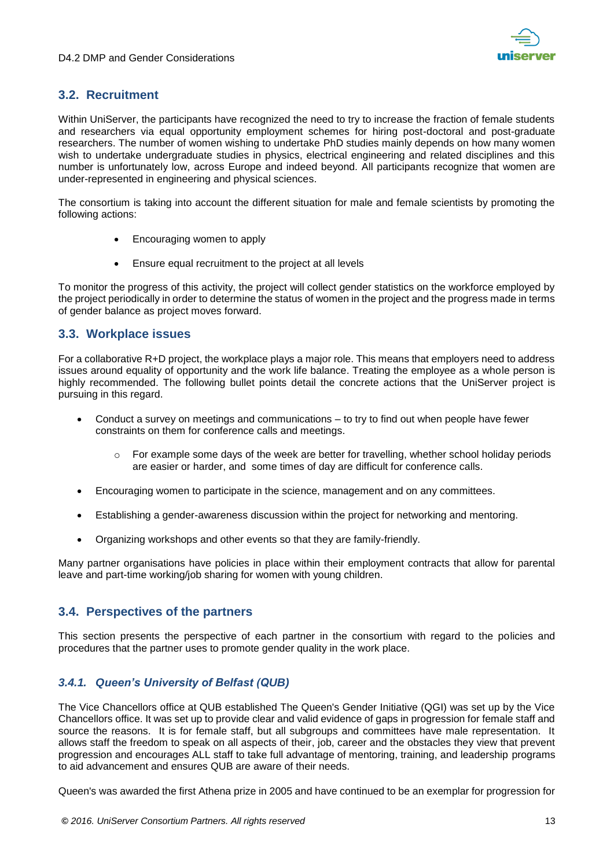

# <span id="page-12-0"></span>**3.2. Recruitment**

Within UniServer, the participants have recognized the need to try to increase the fraction of female students and researchers via equal opportunity employment schemes for hiring post-doctoral and post-graduate researchers. The number of women wishing to undertake PhD studies mainly depends on how many women wish to undertake undergraduate studies in physics, electrical engineering and related disciplines and this number is unfortunately low, across Europe and indeed beyond. All participants recognize that women are under-represented in engineering and physical sciences.

The consortium is taking into account the different situation for male and female scientists by promoting the following actions:

- Encouraging women to apply
- Ensure equal recruitment to the project at all levels

To monitor the progress of this activity, the project will collect gender statistics on the workforce employed by the project periodically in order to determine the status of women in the project and the progress made in terms of gender balance as project moves forward.

## <span id="page-12-1"></span>**3.3. Workplace issues**

For a collaborative R+D project, the workplace plays a major role. This means that employers need to address issues around equality of opportunity and the work life balance. Treating the employee as a whole person is highly recommended. The following bullet points detail the concrete actions that the UniServer project is pursuing in this regard.

- Conduct a survey on meetings and communications to try to find out when people have fewer constraints on them for conference calls and meetings.
	- $\circ$  For example some days of the week are better for travelling, whether school holiday periods are easier or harder, and some times of day are difficult for conference calls.
- Encouraging women to participate in the science, management and on any committees.
- Establishing a gender-awareness discussion within the project for networking and mentoring.
- Organizing workshops and other events so that they are family-friendly.

Many partner organisations have policies in place within their employment contracts that allow for parental leave and part-time working/job sharing for women with young children.

# <span id="page-12-2"></span>**3.4. Perspectives of the partners**

This section presents the perspective of each partner in the consortium with regard to the policies and procedures that the partner uses to promote gender quality in the work place.

## <span id="page-12-3"></span>*3.4.1. Queen's University of Belfast (QUB)*

The Vice Chancellors office at QUB established The Queen's Gender Initiative (QGI) was set up by the Vice Chancellors office. It was set up to provide clear and valid evidence of gaps in progression for female staff and source the reasons. It is for female staff, but all subgroups and committees have male representation. It allows staff the freedom to speak on all aspects of their, job, career and the obstacles they view that prevent progression and encourages ALL staff to take full advantage of mentoring, training, and leadership programs to aid advancement and ensures QUB are aware of their needs.

Queen's was awarded the first Athena prize in 2005 and have continued to be an exemplar for progression for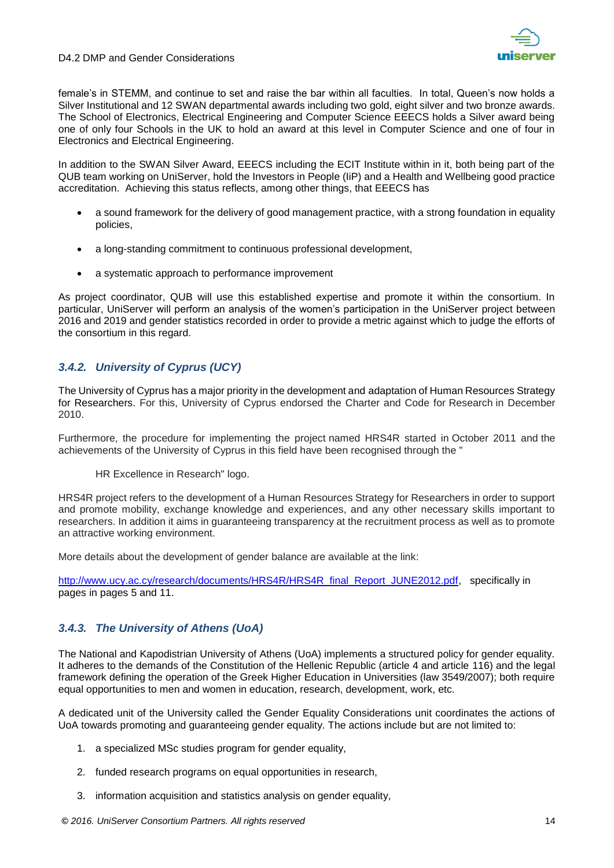

female's in STEMM, and continue to set and raise the bar within all faculties. In total, Queen's now holds a Silver Institutional and 12 SWAN departmental awards including two gold, eight silver and two bronze awards. The School of Electronics, Electrical Engineering and Computer Science EEECS holds a Silver award being one of only four Schools in the UK to hold an award at this level in Computer Science and one of four in Electronics and Electrical Engineering.

In addition to the SWAN Silver Award, EEECS including the ECIT Institute within in it, both being part of the QUB team working on UniServer, hold the Investors in People (IiP) and a Health and Wellbeing good practice accreditation. Achieving this status reflects, among other things, that EEECS has

- a sound framework for the delivery of good management practice, with a strong foundation in equality policies,
- a long-standing commitment to continuous professional development,
- a systematic approach to performance improvement

As project coordinator, QUB will use this established expertise and promote it within the consortium. In particular, UniServer will perform an analysis of the women's participation in the UniServer project between 2016 and 2019 and gender statistics recorded in order to provide a metric against which to judge the efforts of the consortium in this regard.

# <span id="page-13-0"></span>*3.4.2. University of Cyprus (UCY)*

The University of Cyprus has a major priority in the development and adaptation of Human Resources Strategy for Researchers. For this, University of Cyprus endorsed the Charter and Code for Research in December 2010.

Furthermore, the procedure for implementing the project named HRS4R started in October 2011 and the achievements of the University of Cyprus in this field have been recognised through the "

HR Excellence in Research" logo.

HRS4R project refers to the development of a Human Resources Strategy for Researchers in order to support and promote mobility, exchange knowledge and experiences, and any other necessary skills important to researchers. In addition it aims in guaranteeing transparency at the recruitment process as well as to promote an attractive working environment.

More details about the development of gender balance are available at the link:

[http://www.ucy.ac.cy/research/documents/HRS4R/HRS4R\\_final\\_Report\\_JUNE2012.pdf,](http://www.ucy.ac.cy/research/documents/HRS4R/HRS4R_final_Report_JUNE2012.pdf) specifically in pages in pages 5 and 11.

## <span id="page-13-1"></span>*3.4.3. The University of Athens (UoA)*

The National and Kapodistrian University of Athens (UoA) implements a structured policy for gender equality. It adheres to the demands of the Constitution of the Hellenic Republic (article 4 and article 116) and the legal framework defining the operation of the Greek Higher Education in Universities (law 3549/2007); both require equal opportunities to men and women in education, research, development, work, etc.

A dedicated unit of the University called the Gender Equality Considerations unit coordinates the actions of UoA towards promoting and guaranteeing gender equality. The actions include but are not limited to:

- 1. a specialized MSc studies program for gender equality,
- 2. funded research programs on equal opportunities in research,
- 3. information acquisition and statistics analysis on gender equality,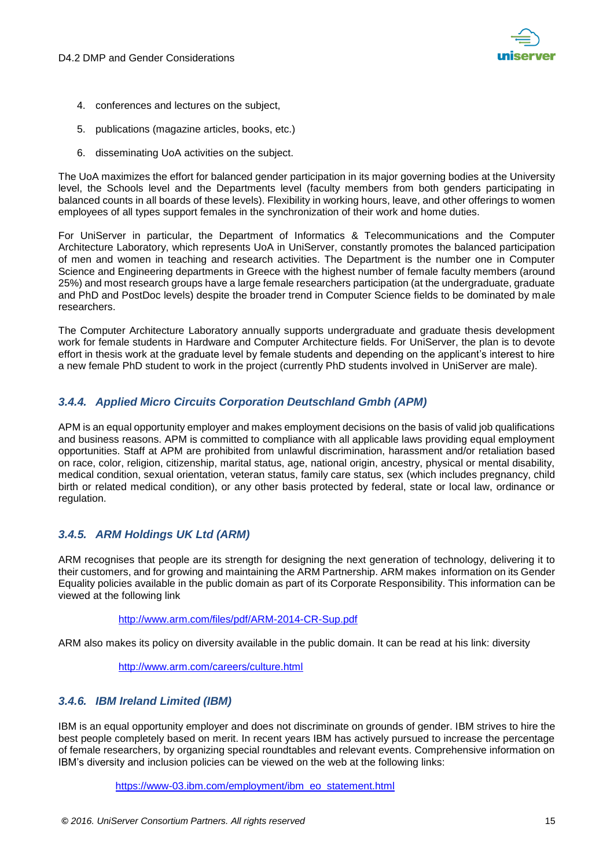

- 4. conferences and lectures on the subject,
- 5. publications (magazine articles, books, etc.)
- 6. disseminating UoA activities on the subject.

The UoA maximizes the effort for balanced gender participation in its major governing bodies at the University level, the Schools level and the Departments level (faculty members from both genders participating in balanced counts in all boards of these levels). Flexibility in working hours, leave, and other offerings to women employees of all types support females in the synchronization of their work and home duties.

For UniServer in particular, the Department of Informatics & Telecommunications and the Computer Architecture Laboratory, which represents UoA in UniServer, constantly promotes the balanced participation of men and women in teaching and research activities. The Department is the number one in Computer Science and Engineering departments in Greece with the highest number of female faculty members (around 25%) and most research groups have a large female researchers participation (at the undergraduate, graduate and PhD and PostDoc levels) despite the broader trend in Computer Science fields to be dominated by male researchers.

The Computer Architecture Laboratory annually supports undergraduate and graduate thesis development work for female students in Hardware and Computer Architecture fields. For UniServer, the plan is to devote effort in thesis work at the graduate level by female students and depending on the applicant's interest to hire a new female PhD student to work in the project (currently PhD students involved in UniServer are male).

### <span id="page-14-0"></span>*3.4.4. Applied Micro Circuits Corporation Deutschland Gmbh (APM)*

APM is an equal opportunity employer and makes employment decisions on the basis of valid job qualifications and business reasons. APM is committed to compliance with all applicable laws providing equal employment opportunities. Staff at APM are prohibited from unlawful discrimination, harassment and/or retaliation based on race, color, religion, citizenship, marital status, age, national origin, ancestry, physical or mental disability, medical condition, sexual orientation, veteran status, family care status, sex (which includes pregnancy, child birth or related medical condition), or any other basis protected by federal, state or local law, ordinance or regulation.

### <span id="page-14-1"></span>*3.4.5. ARM Holdings UK Ltd (ARM)*

ARM recognises that people are its strength for designing the next generation of technology, delivering it to their customers, and for growing and maintaining the ARM Partnership. ARM makes information on its Gender Equality policies available in the public domain as part of its Corporate Responsibility. This information can be viewed at the following link

### <http://www.arm.com/files/pdf/ARM-2014-CR-Sup.pdf>

ARM also makes its policy on diversity available in the public domain. It can be read at his link: diversity

### <http://www.arm.com/careers/culture.html>

### <span id="page-14-2"></span>*3.4.6. IBM Ireland Limited (IBM)*

IBM is an equal opportunity employer and does not discriminate on grounds of gender. IBM strives to hire the best people completely based on merit. In recent years IBM has actively pursued to increase the percentage of female researchers, by organizing special roundtables and relevant events. Comprehensive information on IBM's diversity and inclusion policies can be viewed on the web at the following links:

[https://www-03.ibm.com/employment/ibm\\_eo\\_statement.html](https://www-03.ibm.com/employment/ibm_eo_statement.html)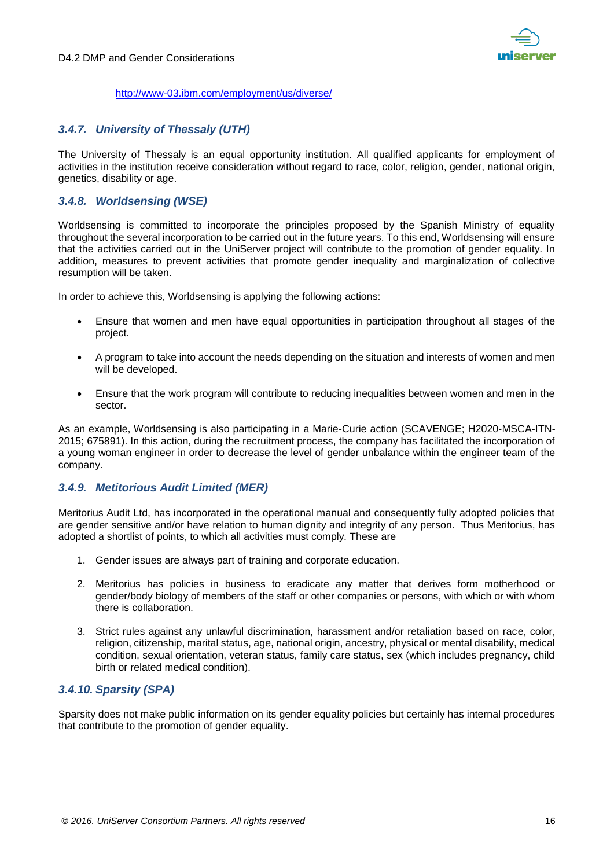

<http://www-03.ibm.com/employment/us/diverse/>

# <span id="page-15-0"></span>*3.4.7. University of Thessaly (UTH)*

The University of Thessaly is an equal opportunity institution. All qualified applicants for employment of activities in the institution receive consideration without regard to race, color, religion, gender, national origin, genetics, disability or age.

### <span id="page-15-1"></span>*3.4.8. Worldsensing (WSE)*

Worldsensing is committed to incorporate the principles proposed by the Spanish Ministry of equality throughout the several incorporation to be carried out in the future years. To this end, Worldsensing will ensure that the activities carried out in the UniServer project will contribute to the promotion of gender equality. In addition, measures to prevent activities that promote gender inequality and marginalization of collective resumption will be taken.

In order to achieve this, Worldsensing is applying the following actions:

- Ensure that women and men have equal opportunities in participation throughout all stages of the project.
- A program to take into account the needs depending on the situation and interests of women and men will be developed.
- Ensure that the work program will contribute to reducing inequalities between women and men in the sector.

As an example, Worldsensing is also participating in a Marie-Curie action (SCAVENGE; H2020-MSCA-ITN-2015; 675891). In this action, during the recruitment process, the company has facilitated the incorporation of a young woman engineer in order to decrease the level of gender unbalance within the engineer team of the company.

## <span id="page-15-2"></span>*3.4.9. Metitorious Audit Limited (MER)*

Meritorius Audit Ltd, has incorporated in the operational manual and consequently fully adopted policies that are gender sensitive and/or have relation to human dignity and integrity of any person. Thus Meritorius, has adopted a shortlist of points, to which all activities must comply. These are

- 1. Gender issues are always part of training and corporate education.
- 2. Meritorius has policies in business to eradicate any matter that derives form motherhood or gender/body biology of members of the staff or other companies or persons, with which or with whom there is collaboration.
- 3. Strict rules against any unlawful discrimination, harassment and/or retaliation based on race, color, religion, citizenship, marital status, age, national origin, ancestry, physical or mental disability, medical condition, sexual orientation, veteran status, family care status, sex (which includes pregnancy, child birth or related medical condition).

### <span id="page-15-3"></span>*3.4.10. Sparsity (SPA)*

Sparsity does not make public information on its gender equality policies but certainly has internal procedures that contribute to the promotion of gender equality.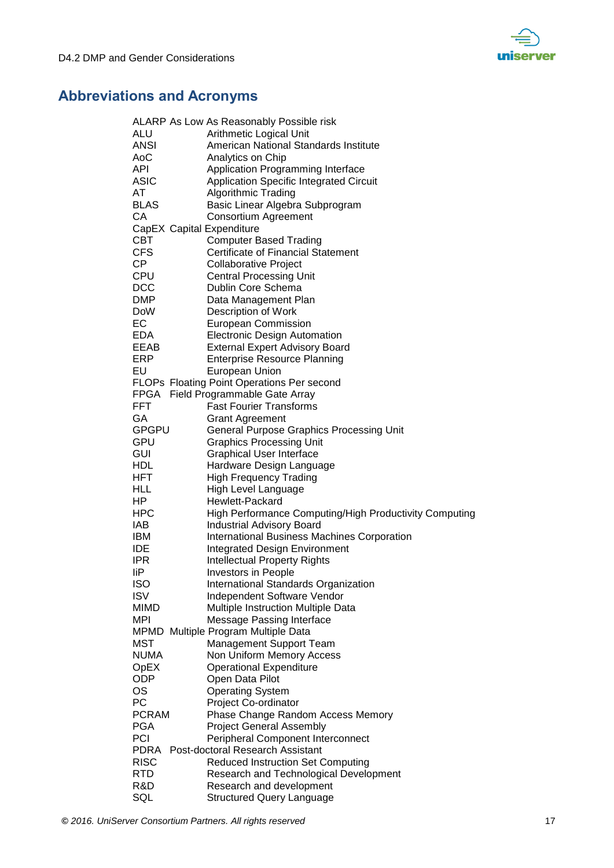

# <span id="page-16-0"></span>**Abbreviations and Acronyms**

|              | ALARP As Low As Reasonably Possible risk               |
|--------------|--------------------------------------------------------|
| ALU          | Arithmetic Logical Unit                                |
| <b>ANSI</b>  | American National Standards Institute                  |
| AoC          | Analytics on Chip                                      |
| API          | Application Programming Interface                      |
| <b>ASIC</b>  | <b>Application Specific Integrated Circuit</b>         |
| AT           | <b>Algorithmic Trading</b>                             |
| <b>BLAS</b>  | Basic Linear Algebra Subprogram                        |
| СA           | <b>Consortium Agreement</b>                            |
|              | CapEX Capital Expenditure                              |
| <b>CBT</b>   | <b>Computer Based Trading</b>                          |
| <b>CFS</b>   | <b>Certificate of Financial Statement</b>              |
| CP           | Collaborative Project                                  |
| <b>CPU</b>   | <b>Central Processing Unit</b>                         |
| <b>DCC</b>   | Dublin Core Schema                                     |
| <b>DMP</b>   | Data Management Plan                                   |
| <b>DoW</b>   | Description of Work                                    |
| EC           | <b>European Commission</b>                             |
| EDA          | <b>Electronic Design Automation</b>                    |
| EEAB         | <b>External Expert Advisory Board</b>                  |
| ERP          | <b>Enterprise Resource Planning</b>                    |
| EU           | European Union                                         |
|              | FLOPs Floating Point Operations Per second             |
|              | FPGA Field Programmable Gate Array                     |
| <b>FFT</b>   | <b>Fast Fourier Transforms</b>                         |
| GA           | <b>Grant Agreement</b>                                 |
| GPGPU        | <b>General Purpose Graphics Processing Unit</b>        |
| GPU          | <b>Graphics Processing Unit</b>                        |
| <b>GUI</b>   | <b>Graphical User Interface</b>                        |
| <b>HDL</b>   | Hardware Design Language                               |
| <b>HFT</b>   | <b>High Frequency Trading</b>                          |
| HLL          | High Level Language                                    |
| HP.          | Hewlett-Packard                                        |
| <b>HPC</b>   | High Performance Computing/High Productivity Computing |
| IAB          | <b>Industrial Advisory Board</b>                       |
| IBM          | <b>International Business Machines Corporation</b>     |
| <b>IDE</b>   | <b>Integrated Design Environment</b>                   |
| <b>IPR</b>   | <b>Intellectual Property Rights</b>                    |
| liP          | <b>Investors in People</b>                             |
| <b>ISO</b>   | International Standards Organization                   |
| <b>ISV</b>   | Independent Software Vendor                            |
| MIMD         | Multiple Instruction Multiple Data                     |
| MPI          | <b>Message Passing Interface</b>                       |
|              | MPMD Multiple Program Multiple Data                    |
| <b>MST</b>   | <b>Management Support Team</b>                         |
| <b>NUMA</b>  | Non Uniform Memory Access                              |
| OpEX         | <b>Operational Expenditure</b>                         |
| ODP          | Open Data Pilot                                        |
| OS           | <b>Operating System</b>                                |
| PC           | Project Co-ordinator                                   |
| <b>PCRAM</b> | Phase Change Random Access Memory                      |
| <b>PGA</b>   | <b>Project General Assembly</b>                        |
| PCI          | Peripheral Component Interconnect                      |
| <b>PDRA</b>  | <b>Post-doctoral Research Assistant</b>                |
| <b>RISC</b>  | <b>Reduced Instruction Set Computing</b>               |
| <b>RTD</b>   | Research and Technological Development                 |
| R&D          | Research and development                               |
| SQL          | <b>Structured Query Language</b>                       |